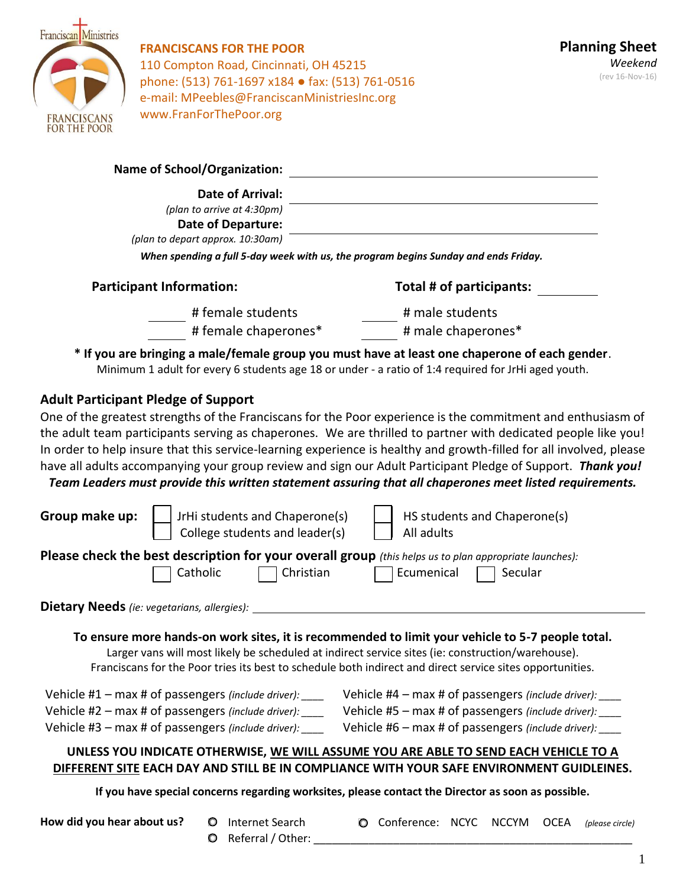

# **FRANCISCANS FOR THE POOR** 110 Compton Road, Cincinnati, OH 45215 phone: (513) 761-1697 x184 ● fax: (513) 761-0516 e-mail: MPeebles@FranciscanMinistriesInc.org www.FranForThePoor.org

| <b>Date of Arrival:</b>                                                            |                                                                                                                                                                                                                                                                                                                    |
|------------------------------------------------------------------------------------|--------------------------------------------------------------------------------------------------------------------------------------------------------------------------------------------------------------------------------------------------------------------------------------------------------------------|
| (plan to arrive at 4:30pm)<br><b>Date of Departure:</b>                            |                                                                                                                                                                                                                                                                                                                    |
| (plan to depart approx. 10:30am)                                                   |                                                                                                                                                                                                                                                                                                                    |
|                                                                                    | When spending a full 5-day week with us, the program begins Sunday and ends Friday.                                                                                                                                                                                                                                |
| <b>Participant Information:</b>                                                    | Total # of participants:                                                                                                                                                                                                                                                                                           |
| # female students                                                                  | # male students                                                                                                                                                                                                                                                                                                    |
| # female chaperones*                                                               | # male chaperones*                                                                                                                                                                                                                                                                                                 |
|                                                                                    | * If you are bringing a male/female group you must have at least one chaperone of each gender.<br>Minimum 1 adult for every 6 students age 18 or under - a ratio of 1:4 required for JrHi aged youth.                                                                                                              |
| <b>Adult Participant Pledge of Support</b>                                         |                                                                                                                                                                                                                                                                                                                    |
|                                                                                    | One of the greatest strengths of the Franciscans for the Poor experience is the commitment and enthusiasm of                                                                                                                                                                                                       |
|                                                                                    | the adult team participants serving as chaperones. We are thrilled to partner with dedicated people like you!                                                                                                                                                                                                      |
|                                                                                    | In order to help insure that this service-learning experience is healthy and growth-filled for all involved, please<br>have all adults accompanying your group review and sign our Adult Participant Pledge of Support. Thank you!                                                                                 |
|                                                                                    | Team Leaders must provide this written statement assuring that all chaperones meet listed requirements.                                                                                                                                                                                                            |
|                                                                                    |                                                                                                                                                                                                                                                                                                                    |
| Group make up:<br>JrHi students and Chaperone(s)<br>College students and leader(s) | HS students and Chaperone(s)<br>All adults                                                                                                                                                                                                                                                                         |
|                                                                                    | Please check the best description for your overall group (this helps us to plan appropriate launches):                                                                                                                                                                                                             |
| Catholic                                                                           | Christian<br>Ecumenical<br>Secular                                                                                                                                                                                                                                                                                 |
| Dietary Needs (ie: vegetarians, allergies):                                        |                                                                                                                                                                                                                                                                                                                    |
|                                                                                    | To ensure more hands-on work sites, it is recommended to limit your vehicle to 5-7 people total.<br>Larger vans will most likely be scheduled at indirect service sites (ie: construction/warehouse).<br>Franciscans for the Poor tries its best to schedule both indirect and direct service sites opportunities. |
| Vehicle #1 $-$ max # of passengers (include driver): ____                          | Vehicle #4 - max # of passengers (include driver): ____                                                                                                                                                                                                                                                            |
| Vehicle #2 - max # of passengers (include driver): ____                            | Vehicle #5 - max # of passengers (include driver):                                                                                                                                                                                                                                                                 |
| Vehicle #3 - max # of passengers (include driver): ____                            | Vehicle #6 - max # of passengers (include driver): ____                                                                                                                                                                                                                                                            |
|                                                                                    | UNLESS YOU INDICATE OTHERWISE, WE WILL ASSUME YOU ARE ABLE TO SEND EACH VEHICLE TO A<br>DIFFERENT SITE EACH DAY AND STILL BE IN COMPLIANCE WITH YOUR SAFE ENVIRONMENT GUIDLEINES.                                                                                                                                  |
|                                                                                    | If you have special concerns regarding worksites, please contact the Director as soon as possible.                                                                                                                                                                                                                 |
| How did you hear about us?<br>Internet Search<br>$\circ$                           | Conference: NCYC<br><b>NCCYM</b><br><b>OCEA</b><br>O<br>(please circle)                                                                                                                                                                                                                                            |

- O Referral / Other:
-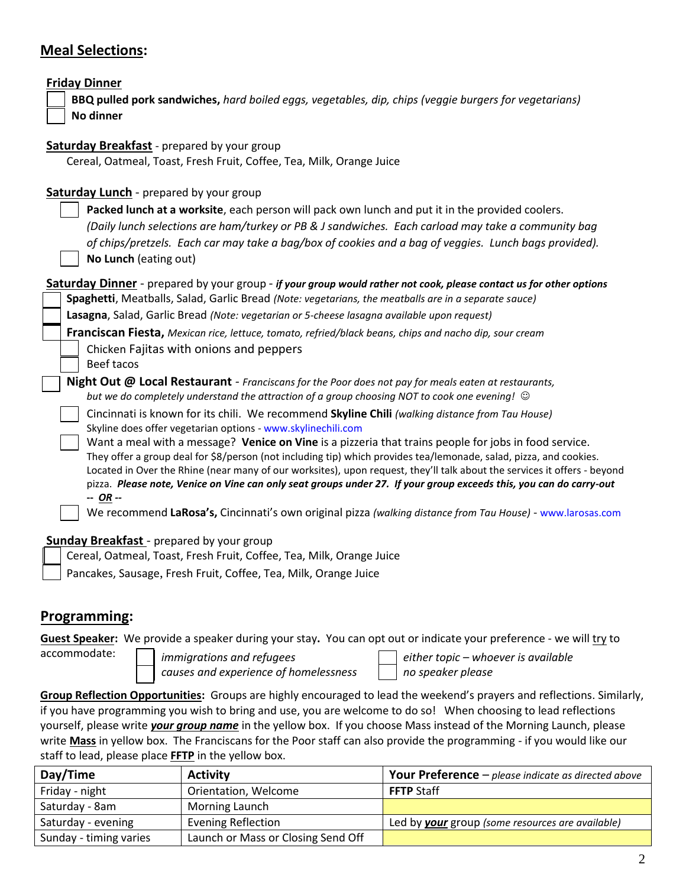# **Meal Selections:**

| <b>Friday Dinner</b><br>BBQ pulled pork sandwiches, hard boiled eggs, vegetables, dip, chips (veggie burgers for vegetarians)<br>No dinner                                                                                                                                                                                                                                                                                                                                                                                                                                                                                                                                                                                                                                                                                                                                                                                                                                                  |
|---------------------------------------------------------------------------------------------------------------------------------------------------------------------------------------------------------------------------------------------------------------------------------------------------------------------------------------------------------------------------------------------------------------------------------------------------------------------------------------------------------------------------------------------------------------------------------------------------------------------------------------------------------------------------------------------------------------------------------------------------------------------------------------------------------------------------------------------------------------------------------------------------------------------------------------------------------------------------------------------|
| <b>Saturday Breakfast</b> - prepared by your group<br>Cereal, Oatmeal, Toast, Fresh Fruit, Coffee, Tea, Milk, Orange Juice                                                                                                                                                                                                                                                                                                                                                                                                                                                                                                                                                                                                                                                                                                                                                                                                                                                                  |
| <b>Saturday Lunch</b> - prepared by your group<br>Packed lunch at a worksite, each person will pack own lunch and put it in the provided coolers.<br>(Daily lunch selections are ham/turkey or PB & J sandwiches. Each carload may take a community bag<br>of chips/pretzels. Each car may take a bag/box of cookies and a bag of veggies. Lunch bags provided).<br>No Lunch (eating out)                                                                                                                                                                                                                                                                                                                                                                                                                                                                                                                                                                                                   |
| Saturday Dinner - prepared by your group - if your group would rather not cook, please contact us for other options<br>Spaghetti, Meatballs, Salad, Garlic Bread (Note: vegetarians, the meatballs are in a separate sauce)<br>Lasagna, Salad, Garlic Bread (Note: vegetarian or 5-cheese lasagna available upon request)<br>Franciscan Fiesta, Mexican rice, lettuce, tomato, refried/black beans, chips and nacho dip, sour cream<br>Chicken Fajitas with onions and peppers<br>Beef tacos                                                                                                                                                                                                                                                                                                                                                                                                                                                                                                |
| Night Out @ Local Restaurant - Franciscans for the Poor does not pay for meals eaten at restaurants,<br>but we do completely understand the attraction of a group choosing NOT to cook one evening! $\odot$<br>Cincinnati is known for its chili. We recommend Skyline Chili (walking distance from Tau House)<br>Skyline does offer vegetarian options - www.skylinechili.com<br>Want a meal with a message? Venice on Vine is a pizzeria that trains people for jobs in food service.<br>They offer a group deal for \$8/person (not including tip) which provides tea/lemonade, salad, pizza, and cookies.<br>Located in Over the Rhine (near many of our worksites), upon request, they'll talk about the services it offers - beyond<br>pizza. Please note, Venice on Vine can only seat groups under 27. If your group exceeds this, you can do carry-out<br>$-$ OR $-$<br>We recommend LaRosa's, Cincinnati's own original pizza (walking distance from Tau House) - www.larosas.com |

#### **Sunday Breakfast** - prepared by your group

| Cereal, Oatmeal, Toast, Fresh Fruit, Coffee, Tea, Milk, Orange Juice |  |  |  |
|----------------------------------------------------------------------|--|--|--|
|                                                                      |  |  |  |

Pancakes, Sausage, Fresh Fruit, Coffee, Tea, Milk, Orange Juice

### **Programming:**

**Guest Speaker:** We provide a speaker during your stay**.** You can opt out or indicate your preference - we will try to

accommodate:

*immigrations and refugees either topic – whoever is available causes and experience of homelessness no speaker please*

**Group Reflection Opportunities:** Groups are highly encouraged to lead the weekend's prayers and reflections. Similarly, if you have programming you wish to bring and use, you are welcome to do so! When choosing to lead reflections yourself, please write *your group name* in the yellow box. If you choose Mass instead of the Morning Launch, please write **Mass** in yellow box. The Franciscans for the Poor staff can also provide the programming - if you would like our staff to lead, please place **FFTP** in the yellow box.

| Day/Time               | <b>Activity</b>                    | <b>Your Preference</b> $-\rho$ <i>please indicate as directed above</i> |
|------------------------|------------------------------------|-------------------------------------------------------------------------|
| Friday - night         | Orientation, Welcome               | <b>FFTP</b> Staff                                                       |
| Saturday - 8am         | Morning Launch                     |                                                                         |
| Saturday - evening     | <b>Evening Reflection</b>          | Led by your group (some resources are available)                        |
| Sunday - timing varies | Launch or Mass or Closing Send Off |                                                                         |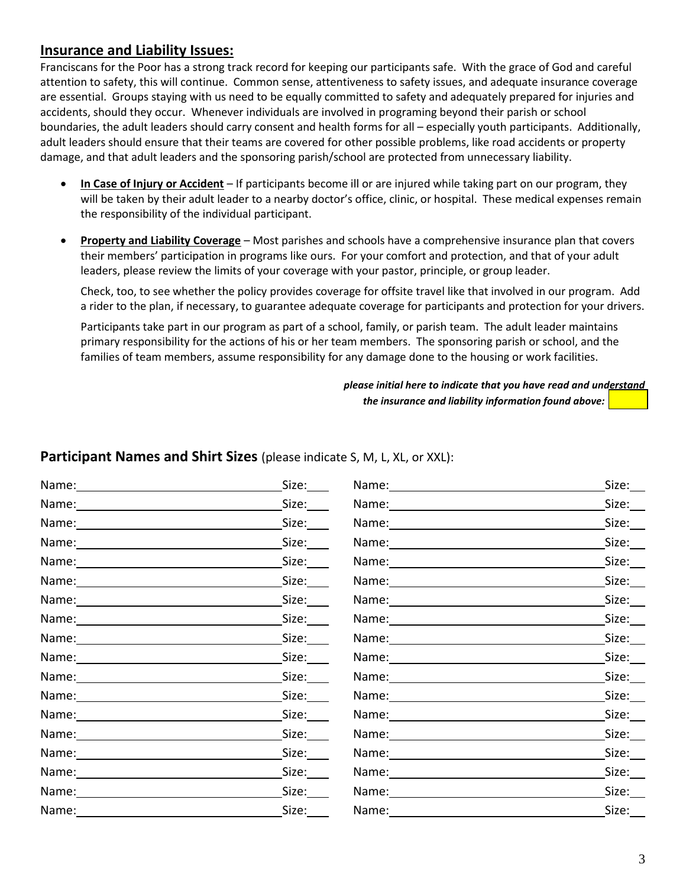## **Insurance and Liability Issues:**

Franciscans for the Poor has a strong track record for keeping our participants safe. With the grace of God and careful attention to safety, this will continue. Common sense, attentiveness to safety issues, and adequate insurance coverage are essential. Groups staying with us need to be equally committed to safety and adequately prepared for injuries and accidents, should they occur. Whenever individuals are involved in programing beyond their parish or school boundaries, the adult leaders should carry consent and health forms for all – especially youth participants. Additionally, adult leaders should ensure that their teams are covered for other possible problems, like road accidents or property damage, and that adult leaders and the sponsoring parish/school are protected from unnecessary liability.

- **In Case of Injury or Accident** If participants become ill or are injured while taking part on our program, they will be taken by their adult leader to a nearby doctor's office, clinic, or hospital. These medical expenses remain the responsibility of the individual participant.
- **Property and Liability Coverage** Most parishes and schools have a comprehensive insurance plan that covers their members' participation in programs like ours. For your comfort and protection, and that of your adult leaders, please review the limits of your coverage with your pastor, principle, or group leader.

Check, too, to see whether the policy provides coverage for offsite travel like that involved in our program. Add a rider to the plan, if necessary, to guarantee adequate coverage for participants and protection for your drivers.

Participants take part in our program as part of a school, family, or parish team. The adult leader maintains primary responsibility for the actions of his or her team members. The sponsoring parish or school, and the families of team members, assume responsibility for any damage done to the housing or work facilities.

> *please initial here to indicate that you have read and understand the insurance and liability information found above:*

## **Participant Names and Shirt Sizes** (please indicate S, M, L, XL, or XXL):

|                                                                                                                                                                                                                                | Size:____                  |                                                                                                                                                                                                                                | Size: |
|--------------------------------------------------------------------------------------------------------------------------------------------------------------------------------------------------------------------------------|----------------------------|--------------------------------------------------------------------------------------------------------------------------------------------------------------------------------------------------------------------------------|-------|
|                                                                                                                                                                                                                                | Size: $\rule{1em}{0.15mm}$ | Name: Name:                                                                                                                                                                                                                    | Size: |
| Name: Name and the second state of the second state of the second state of the second state of the second state of the second state of the second state of the second state of the second state of the second state of the sec | Size:                      | Name: Name:                                                                                                                                                                                                                    | Size: |
|                                                                                                                                                                                                                                | Size:                      | Name: Name:                                                                                                                                                                                                                    | Size: |
|                                                                                                                                                                                                                                | Size:                      | Name: 1999 - 1999 - 1999 - 1999 - 1999 - 1999 - 1999 - 1999 - 1999 - 1999 - 1999 - 1999 - 1999 - 1999 - 1999 -                                                                                                                 | Size: |
|                                                                                                                                                                                                                                | Size:                      |                                                                                                                                                                                                                                | Size: |
| Name: 1988 and 1988 and 1988 and 1988 and 1988 and 1988 and 1988 and 1988 and 1988 and 1988 and 1988 and 1988                                                                                                                  | Size:____                  |                                                                                                                                                                                                                                | Size: |
|                                                                                                                                                                                                                                | Size:____                  | Name: Name:                                                                                                                                                                                                                    | Size: |
| Name: Name and the second state of the second state of the second state of the second state of the second state of the second state of the second state of the second state of the second state of the second state of the sec | Size:                      | Name: Name:                                                                                                                                                                                                                    | Size: |
|                                                                                                                                                                                                                                | Size:_____                 | Name: Name and the second state of the second state of the second state of the second state of the second state of the second state of the second state of the second state of the second state of the second state of the sec | Size: |
|                                                                                                                                                                                                                                | Size:____                  | Name: and the contract of the contract of the contract of the contract of the contract of the contract of the contract of the contract of the contract of the contract of the contract of the contract of the contract of the  | Size: |
|                                                                                                                                                                                                                                | Size:                      | Name: Name and the second state of the second state of the second state of the second state of the second state of the second state of the second state of the second state of the second state of the second state of the sec | Size: |
|                                                                                                                                                                                                                                | Size:                      |                                                                                                                                                                                                                                | Size: |
|                                                                                                                                                                                                                                | Size:                      |                                                                                                                                                                                                                                | Size: |
|                                                                                                                                                                                                                                | Size:                      |                                                                                                                                                                                                                                | Size: |
| Name: 1990 1991                                                                                                                                                                                                                | Size:____                  | Name: 1990 1991                                                                                                                                                                                                                | Size: |
|                                                                                                                                                                                                                                | Size:                      |                                                                                                                                                                                                                                | Size: |
| Name: 1990                                                                                                                                                                                                                     | Size:_____                 | Name: 1988                                                                                                                                                                                                                     | Size: |